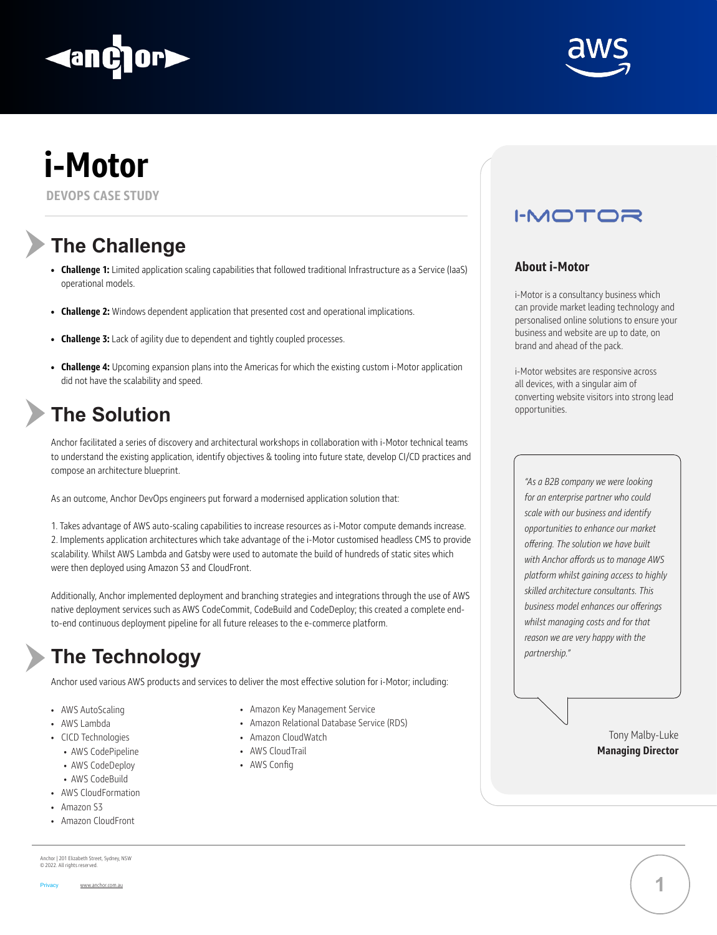**i-Motor**

#### **DEVOPS CASE STUDY**

# **The Challenge**

# **The Solution**

## **The Technology**

- **• Challenge 1:** Limited application scaling capabilities that followed traditional Infrastructure as a Service (IaaS) operational models.
- **• Challenge 2:** Windows dependent application that presented cost and operational implications.
- **• Challenge 3:** Lack of agility due to dependent and tightly coupled processes.
- **• Challenge 4:** Upcoming expansion plans into the Americas for which the existing custom i-Motor application did not have the scalability and speed.

Anchor facilitated a series of discovery and architectural workshops in collaboration with i-Motor technical teams to understand the existing application, identify objectives & tooling into future state, develop CI/CD practices and compose an architecture blueprint.

**I-MOTOR** 

As an outcome, Anchor DevOps engineers put forward a modernised application solution that:

1. Takes advantage of AWS auto-scaling capabilities to increase resources as i-Motor compute demands increase. 2. Implements application architectures which take advantage of the i-Motor customised headless CMS to provide scalability. Whilst AWS Lambda and Gatsby were used to automate the build of hundreds of static sites which were then deployed using Amazon S3 and CloudFront.

Additionally, Anchor implemented deployment and branching strategies and integrations through the use of AWS native deployment services such as AWS CodeCommit, CodeBuild and CodeDeploy; this created a complete endto-end continuous deployment pipeline for all future releases to the e-commerce platform.

Anchor used various AWS products and services to deliver the most effective solution for i-Motor; including:

- AWS AutoScaling
- AWS Lambda
- CICD Technologies
	- AWS CodePipeline
	- AWS CodeDeploy
	- AWS CodeBuild
- AWS CloudFormation
- Amazon S3
- Amazon CloudFront



Anchor | 201 Elizabeth Street, Sydney, NSW © 2022. All rights reserved.

Privacy www.anchor.com.au

#### **About i-Motor**

i-Motor is a consultancy business which can provide market leading technology and personalised online solutions to ensure your business and website are up to date, on brand and ahead of the pack.

i-Motor websites are responsive across all devices, with a singular aim of converting website visitors into strong lead opportunities.

*"As a B2B company we were looking* 





*for an enterprise partner who could scale with our business and identify opportunities to enhance our market offering. The solution we have built with Anchor affords us to manage AWS platform whilst gaining access to highly skilled architecture consultants. This business model enhances our offerings whilst managing costs and for that reason we are very happy with the partnership."*

> Tony Malby-Luke **Managing Director**

- Amazon Key Management Service
- Amazon Relational Database Service (RDS)
- Amazon CloudWatch
- AWS CloudTrail
- AWS Config